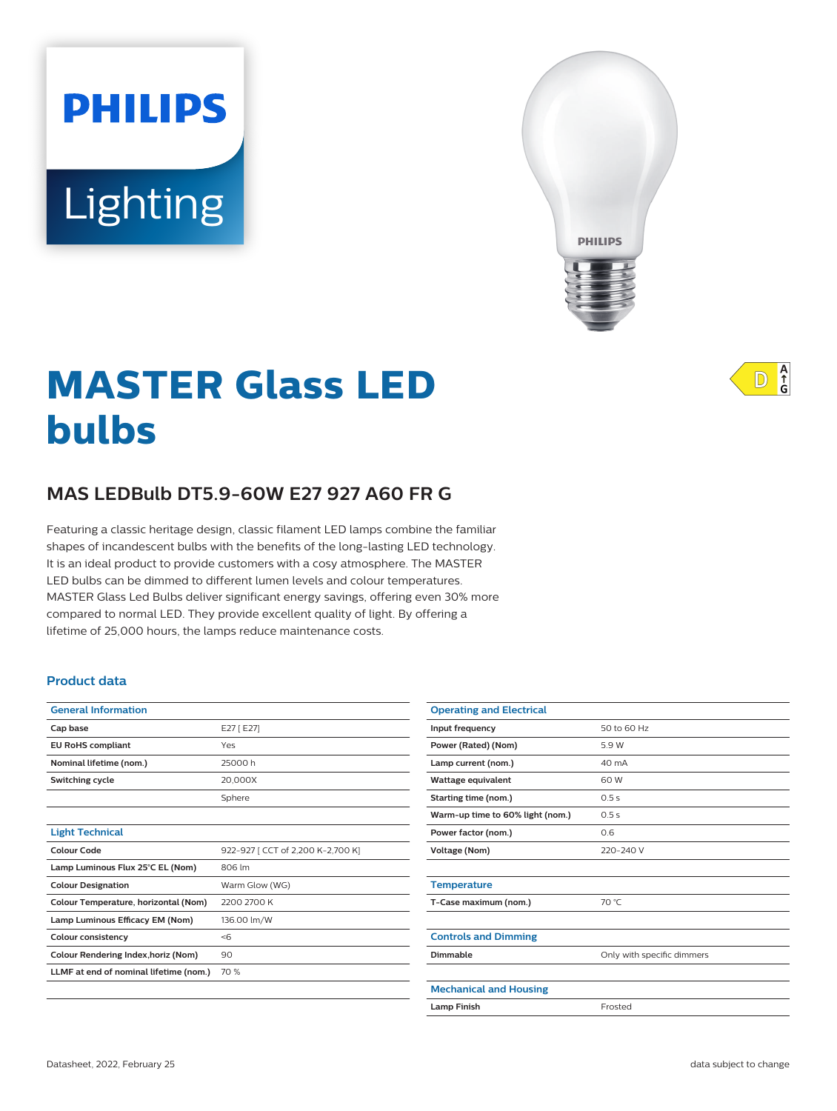# Lighting

**PHILIPS** 



## **MASTER Glass LED bulbs**

### **MAS LEDBulb DT5.9-60W E27 927 A60 FR G**

Featuring a classic heritage design, classic filament LED lamps combine the familiar shapes of incandescent bulbs with the benefits of the long-lasting LED technology. It is an ideal product to provide customers with a cosy atmosphere. The MASTER LED bulbs can be dimmed to different lumen levels and colour temperatures. MASTER Glass Led Bulbs deliver significant energy savings, offering even 30% more compared to normal LED. They provide excellent quality of light. By offering a lifetime of 25,000 hours, the lamps reduce maintenance costs.

#### **Product data**

| <b>General Information</b>             |                                   |
|----------------------------------------|-----------------------------------|
| Cap base                               | E27 [E27]                         |
| <b>EU RoHS compliant</b>               | Yes                               |
| Nominal lifetime (nom.)                | 25000h                            |
| <b>Switching cycle</b>                 | 20.000X                           |
|                                        | Sphere                            |
|                                        |                                   |
| <b>Light Technical</b>                 |                                   |
| Colour Code                            | 922-927 [ CCT of 2,200 K-2,700 K] |
| Lamp Luminous Flux 25°C EL (Nom)       | 806 lm                            |
| <b>Colour Designation</b>              | Warm Glow (WG)                    |
| Colour Temperature, horizontal (Nom)   | 2200 2700 K                       |
| Lamp Luminous Efficacy EM (Nom)        | 136.00 lm/W                       |
| Colour consistency                     | $<$ 6                             |
| Colour Rendering Index, horiz (Nom)    | 90                                |
| LLMF at end of nominal lifetime (nom.) | 70 %                              |
|                                        |                                   |

 $A$ <sub> $f$ </sub> $G$  $\mathbb{D}$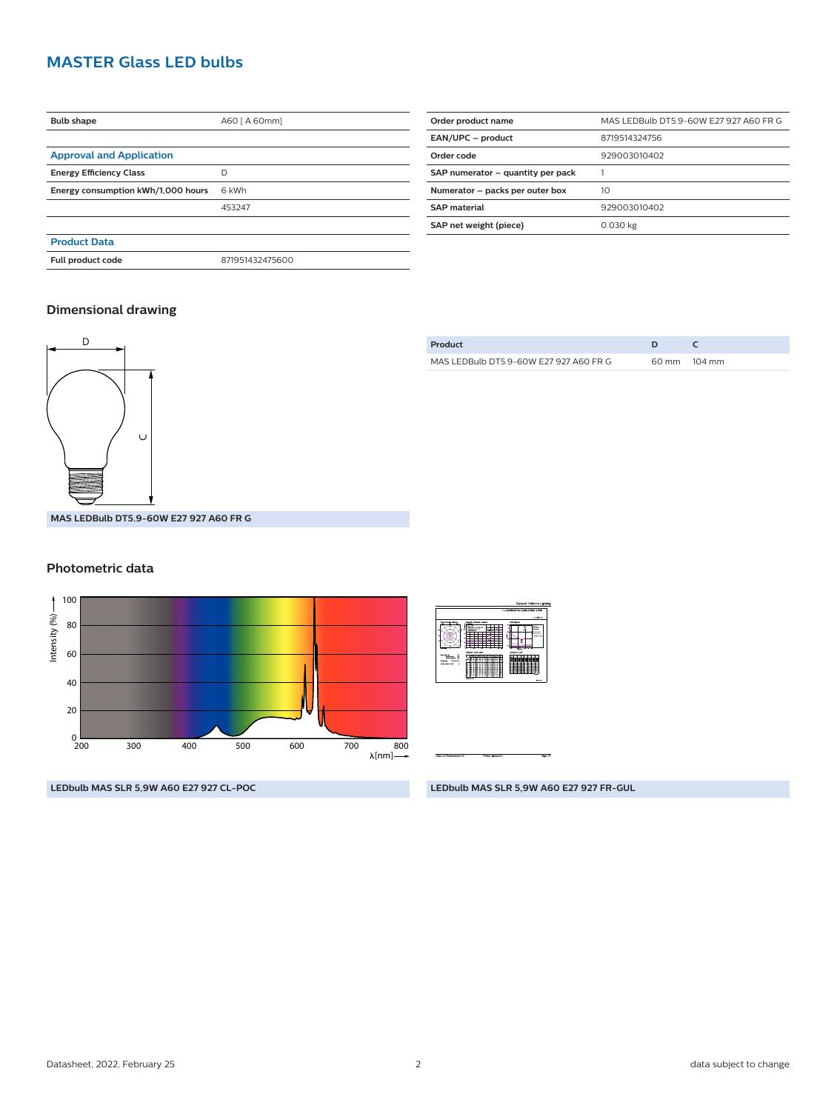#### **MASTER Glass LED bulbs**

| <b>Bulb shape</b>                  | A60 [ A 60mm]   |  |
|------------------------------------|-----------------|--|
|                                    |                 |  |
| <b>Approval and Application</b>    |                 |  |
| <b>Energy Efficiency Class</b>     | D               |  |
| Energy consumption kWh/1,000 hours | 6 kWh           |  |
|                                    | 453247          |  |
|                                    |                 |  |
| <b>Product Data</b>                |                 |  |
| Full product code                  | 871951432475600 |  |
|                                    |                 |  |

| MAS LEDBulb DT5.9-60W E27 927 A60 FR G |
|----------------------------------------|
| 8719514324756                          |
| 929003010402                           |
|                                        |
| 10                                     |
| 929003010402                           |
| 0.030 kg                               |
|                                        |

#### **Dimensional drawing**



| Product                                |                 |                  |
|----------------------------------------|-----------------|------------------|
| MAS LEDBulb DT5.9-60W E27 927 A60 FR G | $60 \text{ mm}$ | $104 \text{ mm}$ |

**MAS LEDBulb DT5.9-60W E27 927 A60 FR G**

#### **Photometric data**



**LEDbulb MAS SLR 5,9W A60 E27 927 CL-POC**

| 1 x 800 lm<br>USA degree<br><b>Australian Barrett</b><br>A-Mar<br><b>CATACUTY</b><br>--<br>$\overline{\phantom{1}}$<br><b>B</b> COLLEGE<br><b>Service</b><br>--<br><b>STATISTICS</b><br><b><i><u>SALES CONTROL</u></i></b><br>$\sim$<br>z<br>٠<br>÷<br><b>Limiteres Tube</b><br>University future subs<br><b>Id</b><br><b><i><u>Indian model</u></i></b><br>÷<br>------<br><b>William</b><br><b>Williams</b> 18<br>≂<br>Officers Institute<br>a a<br>$\sim$ $\sim$ $\sim$<br>пı<br>---<br><b>HAMBARD</b><br>14<br>я<br>÷<br>÷<br>÷<br>$-$ |   | 1 x 1200030104 3200-32006 5 FW |
|-------------------------------------------------------------------------------------------------------------------------------------------------------------------------------------------------------------------------------------------------------------------------------------------------------------------------------------------------------------------------------------------------------------------------------------------------------------------------------------------------------------------------------------------|---|--------------------------------|
|                                                                                                                                                                                                                                                                                                                                                                                                                                                                                                                                           |   |                                |
|                                                                                                                                                                                                                                                                                                                                                                                                                                                                                                                                           |   |                                |
| <b>Softe books</b>                                                                                                                                                                                                                                                                                                                                                                                                                                                                                                                        | ٠ |                                |

**LEDbulb MAS SLR 5,9W A60 E27 927 FR-GUL**